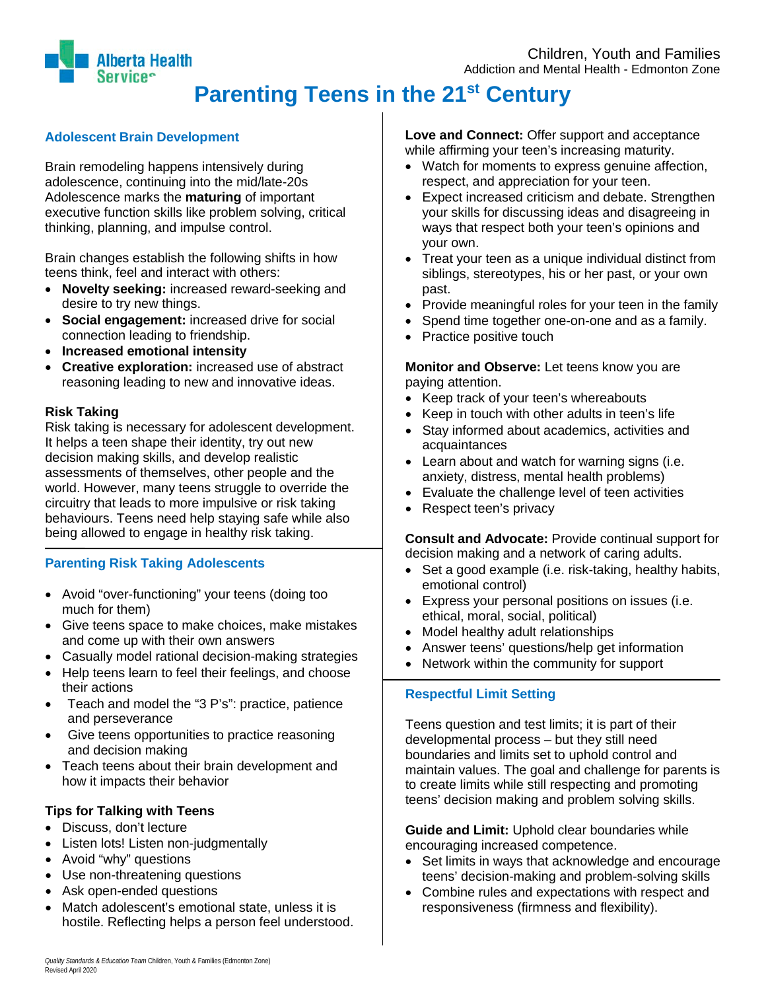# **Parenting Teens in the 21st Century**

## **Adolescent Brain Development**

Brain remodeling happens intensively during adolescence, continuing into the mid/late-20s Adolescence marks the **maturing** of important executive function skills like problem solving, critical thinking, planning, and impulse control.

Brain changes establish the following shifts in how teens think, feel and interact with others:

- **Novelty seeking:** increased reward-seeking and desire to try new things.
- **Social engagement:** increased drive for social connection leading to friendship.
- **Increased emotional intensity**
- **Creative exploration:** increased use of abstract reasoning leading to new and innovative ideas.

#### **Risk Taking**

Risk taking is necessary for adolescent development. It helps a teen shape their identity, try out new decision making skills, and develop realistic assessments of themselves, other people and the world. However, many teens struggle to override the circuitry that leads to more impulsive or risk taking behaviours. Teens need help staying safe while also being allowed to engage in healthy risk taking.

## **Parenting Risk Taking Adolescents**

- Avoid "over-functioning" your teens (doing too much for them)
- Give teens space to make choices, make mistakes and come up with their own answers
- Casually model rational decision-making strategies
- Help teens learn to feel their feelings, and choose their actions
- Teach and model the "3 P's": practice, patience and perseverance
- Give teens opportunities to practice reasoning and decision making
- Teach teens about their brain development and how it impacts their behavior

## **Tips for Talking with Teens**

- Discuss, don't lecture
- Listen lots! Listen non-judgmentally
- Avoid "why" questions
- Use non-threatening questions
- Ask open-ended questions
- Match adolescent's emotional state, unless it is hostile. Reflecting helps a person feel understood.

## **Love and Connect:** Offer support and acceptance

while affirming your teen's increasing maturity.

- Watch for moments to express genuine affection, respect, and appreciation for your teen.
- Expect increased criticism and debate. Strengthen your skills for discussing ideas and disagreeing in ways that respect both your teen's opinions and your own.
- Treat your teen as a unique individual distinct from siblings, stereotypes, his or her past, or your own past.
- Provide meaningful roles for your teen in the family
- Spend time together one-on-one and as a family.
- Practice positive touch

**Monitor and Observe:** Let teens know you are paying attention.

- Keep track of your teen's whereabouts
- Keep in touch with other adults in teen's life
- Stay informed about academics, activities and acquaintances
- Learn about and watch for warning signs (i.e. anxiety, distress, mental health problems)
- Evaluate the challenge level of teen activities
- Respect teen's privacy

**Consult and Advocate:** Provide continual support for decision making and a network of caring adults.

- Set a good example (i.e. risk-taking, healthy habits, emotional control)
- Express your personal positions on issues (i.e. ethical, moral, social, political)
- Model healthy adult relationships
- Answer teens' questions/help get information
- Network within the community for support

## **Respectful Limit Setting**

Teens question and test limits; it is part of their developmental process – but they still need boundaries and limits set to uphold control and maintain values. The goal and challenge for parents is to create limits while still respecting and promoting teens' decision making and problem solving skills.

**Guide and Limit:** Uphold clear boundaries while encouraging increased competence.

- Set limits in ways that acknowledge and encourage teens' decision-making and problem-solving skills
- Combine rules and expectations with respect and responsiveness (firmness and flexibility).